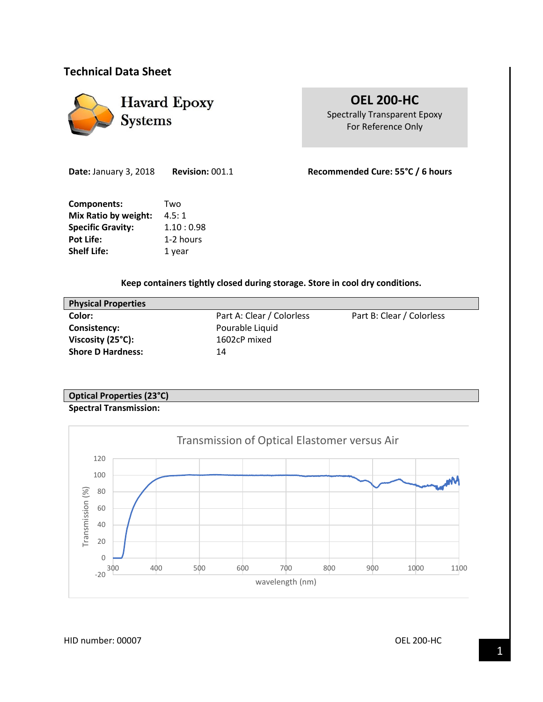# **Technical Data Sheet**



**OEL 200-HC** Spectrally Transparent Epoxy For Reference Only

**Components:** Two **Mix Ratio by weight:** 4.5:1

**Specific Gravity:** 1.10:0.98 Pot Life: 1-2 hours **Shelf Life:** 1 year

**Date:** January 3, 2018 **Revision:** 001.1 **Recommended Cure: 55°C / 6 hours**

**Keep containers tightly closed during storage. Store in cool dry conditions.**

| <b>Physical Properties</b> |                           |                           |
|----------------------------|---------------------------|---------------------------|
| Color:                     | Part A: Clear / Colorless | Part B: Clear / Colorless |
| Consistency:               | Pourable Liquid           |                           |
| Viscosity (25°C):          | 1602cP mixed              |                           |
| <b>Shore D Hardness:</b>   | 14                        |                           |
|                            |                           |                           |

## **Optical Properties (23°C) Spectral Transmission:**